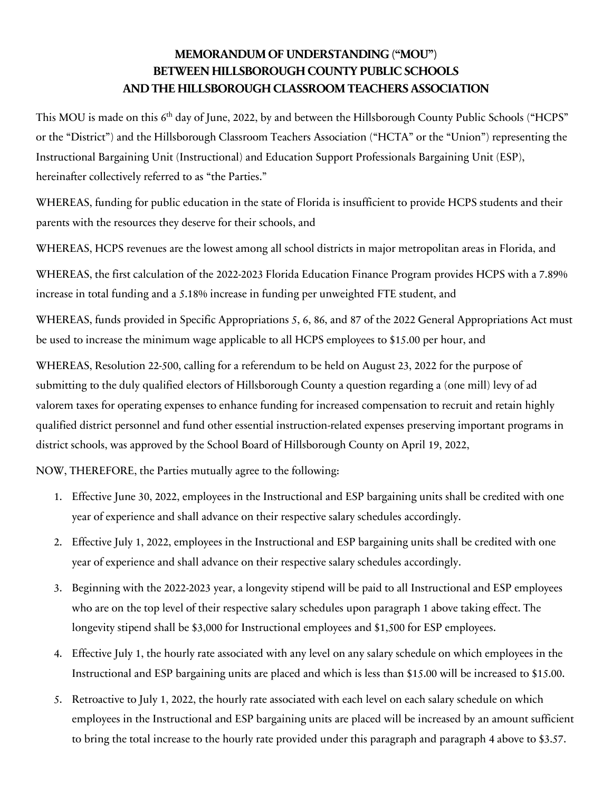## **MEMORANDUM OF UNDERSTANDING ("MOU") BETWEEN HILLSBOROUGH COUNTY PUBLIC SCHOOLS AND THE HILLSBOROUGH CLASSROOM TEACHERS ASSOCIATION**

This MOU is made on this 6<sup>th</sup> day of June, 2022, by and between the Hillsborough County Public Schools ("HCPS" or the "District") and the Hillsborough Classroom Teachers Association ("HCTA" or the "Union") representing the Instructional Bargaining Unit (Instructional) and Education Support Professionals Bargaining Unit (ESP), hereinafter collectively referred to as "the Parties."

WHEREAS, funding for public education in the state of Florida is insufficient to provide HCPS students and their parents with the resources they deserve for their schools, and

WHEREAS, HCPS revenues are the lowest among all school districts in major metropolitan areas in Florida, and

WHEREAS, the first calculation of the 2022-2023 Florida Education Finance Program provides HCPS with a 7.89% increase in total funding and a 5.18% increase in funding per unweighted FTE student, and

WHEREAS, funds provided in Specific Appropriations 5, 6, 86, and 87 of the 2022 General Appropriations Act must be used to increase the minimum wage applicable to all HCPS employees to \$15.00 per hour, and

WHEREAS, Resolution 22-500, calling for a referendum to be held on August 23, 2022 for the purpose of submitting to the duly qualified electors of Hillsborough County a question regarding a (one mill) levy of ad valorem taxes for operating expenses to enhance funding for increased compensation to recruit and retain highly qualified district personnel and fund other essential instruction-related expenses preserving important programs in district schools, was approved by the School Board of Hillsborough County on April 19, 2022,

NOW, THEREFORE, the Parties mutually agree to the following:

- 1. Effective June 30, 2022, employees in the Instructional and ESP bargaining units shall be credited with one year of experience and shall advance on their respective salary schedules accordingly.
- 2. Effective July 1, 2022, employees in the Instructional and ESP bargaining units shall be credited with one year of experience and shall advance on their respective salary schedules accordingly.
- 3. Beginning with the 2022-2023 year, a longevity stipend will be paid to all Instructional and ESP employees who are on the top level of their respective salary schedules upon paragraph 1 above taking effect. The longevity stipend shall be \$3,000 for Instructional employees and \$1,500 for ESP employees.
- 4. Effective July 1, the hourly rate associated with any level on any salary schedule on which employees in the Instructional and ESP bargaining units are placed and which is less than \$15.00 will be increased to \$15.00.
- 5. Retroactive to July 1, 2022, the hourly rate associated with each level on each salary schedule on which employees in the Instructional and ESP bargaining units are placed will be increased by an amount sufficient to bring the total increase to the hourly rate provided under this paragraph and paragraph 4 above to \$3.57.